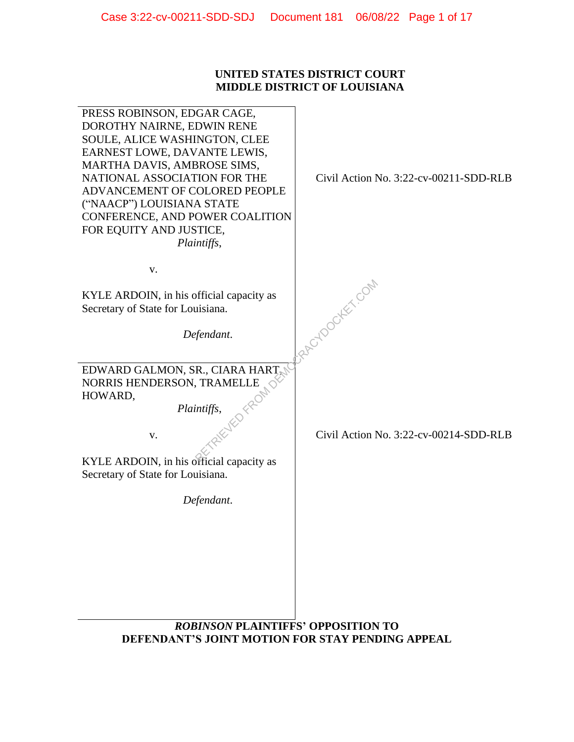# **UNITED STATES DISTRICT COURT MIDDLE DISTRICT OF LOUISIANA**

| PRESS ROBINSON, EDGAR CAGE,<br>DOROTHY NAIRNE, EDWIN RENE<br>SOULE, ALICE WASHINGTON, CLEE<br>EARNEST LOWE, DAVANTE LEWIS,<br>MARTHA DAVIS, AMBROSE SIMS,<br>NATIONAL ASSOCIATION FOR THE<br>ADVANCEMENT OF COLORED PEOPLE<br>("NAACP") LOUISIANA STATE<br>CONFERENCE, AND POWER COALITION<br>FOR EQUITY AND JUSTICE,<br>Plaintiffs, | Civil Action No. 3:22-cv-00211-SDD-RLB |  |  |
|--------------------------------------------------------------------------------------------------------------------------------------------------------------------------------------------------------------------------------------------------------------------------------------------------------------------------------------|----------------------------------------|--|--|
| V.                                                                                                                                                                                                                                                                                                                                   |                                        |  |  |
| KYLE ARDOIN, in his official capacity as<br>Secretary of State for Louisiana.<br>Defendant.                                                                                                                                                                                                                                          | RACYDOCKEY.COM                         |  |  |
| EDWARD GALMON, SR., CIARA HART                                                                                                                                                                                                                                                                                                       |                                        |  |  |
| NORRIS HENDERSON, TRAMELLE<br>HOWARD,                                                                                                                                                                                                                                                                                                |                                        |  |  |
| us, Eleventra<br>Plaintiffs,<br>V.<br>KYLE ARDOIN, in his official capacity as<br>Secretary of State for Louisiana.                                                                                                                                                                                                                  | Civil Action No. 3:22-cv-00214-SDD-RLB |  |  |
| Defendant.                                                                                                                                                                                                                                                                                                                           |                                        |  |  |
| <b>ROBINSON PLAINTIFFS' OPPOSITION TO</b>                                                                                                                                                                                                                                                                                            |                                        |  |  |
| <b>DEFENDANT'S JOINT MOTION FOR STAY PENDING APPEAL</b>                                                                                                                                                                                                                                                                              |                                        |  |  |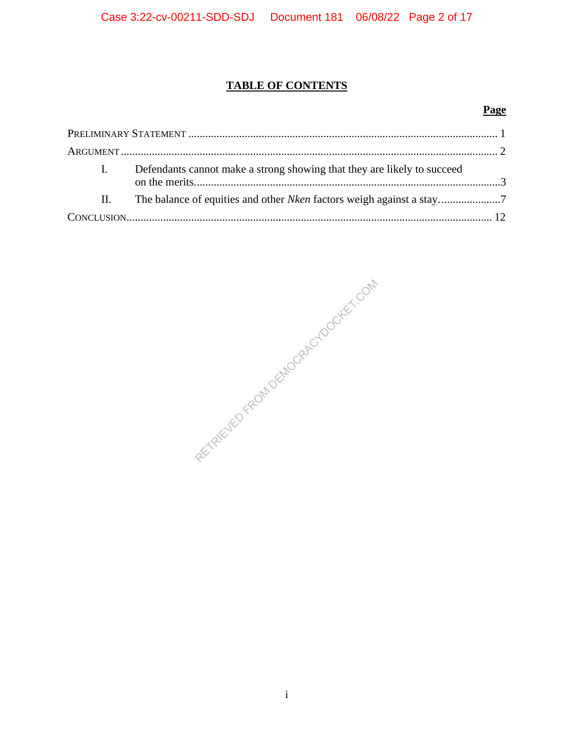# **TABLE OF CONTENTS**

# **Page**

|         | Defendants cannot make a strong showing that they are likely to succeed |  |
|---------|-------------------------------------------------------------------------|--|
| $\Pi$ . |                                                                         |  |
|         |                                                                         |  |

RECTRIEVED FROM DEMOCRACYDOCKET.COM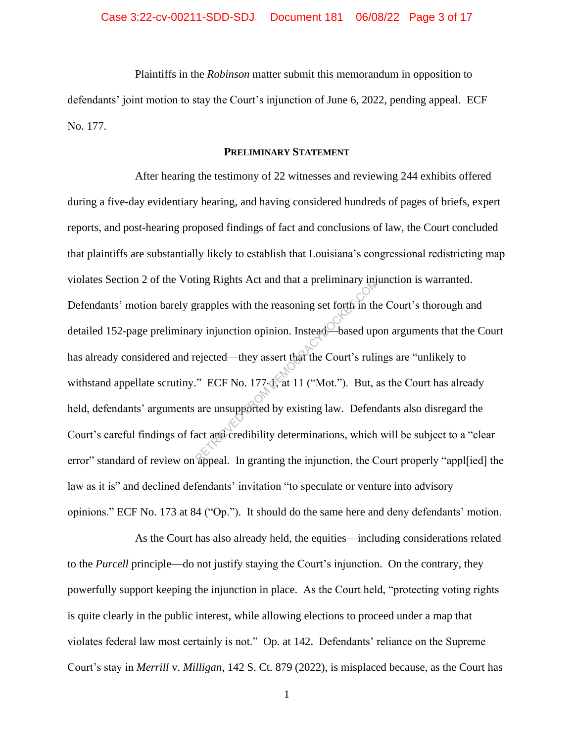Plaintiffs in the *Robinson* matter submit this memorandum in opposition to defendants' joint motion to stay the Court's injunction of June 6, 2022, pending appeal. ECF No. 177.

## **PRELIMINARY STATEMENT**

After hearing the testimony of 22 witnesses and reviewing 244 exhibits offered during a five-day evidentiary hearing, and having considered hundreds of pages of briefs, expert reports, and post-hearing proposed findings of fact and conclusions of law, the Court concluded that plaintiffs are substantially likely to establish that Louisiana's congressional redistricting map violates Section 2 of the Voting Rights Act and that a preliminary injunction is warranted. Defendants' motion barely grapples with the reasoning set forth in the Court's thorough and detailed 152-page preliminary injunction opinion. Instead—based upon arguments that the Court has already considered and rejected—they assert that the Court's rulings are "unlikely to withstand appellate scrutiny." ECF No. 177-1, at 11 ("Mot."). But, as the Court has already held, defendants' arguments are unsupported by existing law. Defendants also disregard the Court's careful findings of fact and credibility determinations, which will be subject to a "clear error" standard of review on appeal. In granting the injunction, the Court properly "appl[ied] the law as it is" and declined defendants' invitation "to speculate or venture into advisory opinions." ECF No. 173 at 84 ("Op."). It should do the same here and deny defendants' motion. represent that a premiintary in<br>the property injunction opinion. Instead—based up<br>rejected—they assert that the Court's ruli<br> $\cdot$  ECF No. 177-4, at 11 ("Mot."). But, a<br>are unsupported by existing law. Defend<br>act and credib

As the Court has also already held, the equities—including considerations related to the *Purcell* principle—do not justify staying the Court's injunction. On the contrary, they powerfully support keeping the injunction in place. As the Court held, "protecting voting rights is quite clearly in the public interest, while allowing elections to proceed under a map that violates federal law most certainly is not." Op. at 142. Defendants' reliance on the Supreme Court's stay in *Merrill* v. *Milligan*, 142 S. Ct. 879 (2022), is misplaced because, as the Court has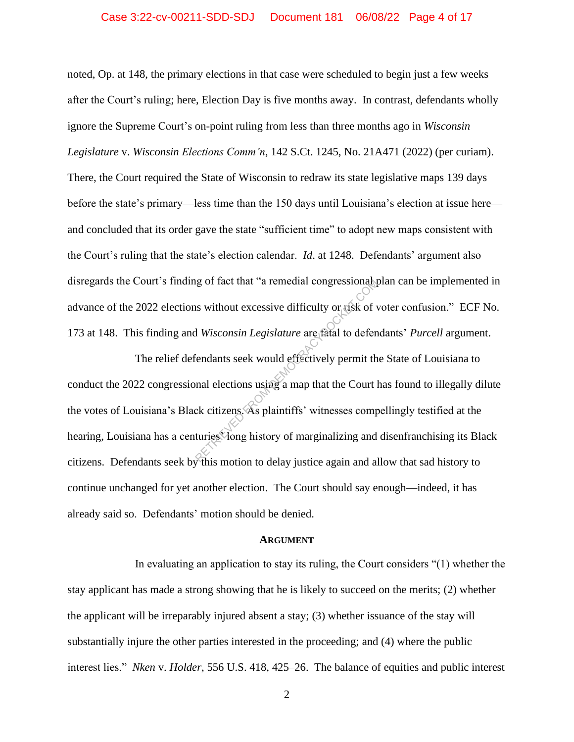### Case 3:22-cv-00211-SDD-SDJ Document 181 06/08/22 Page 4 of 17

noted, Op. at 148, the primary elections in that case were scheduled to begin just a few weeks after the Court's ruling; here, Election Day is five months away. In contrast, defendants wholly ignore the Supreme Court's on-point ruling from less than three months ago in *Wisconsin Legislature* v. *Wisconsin Elections Comm'n*, 142 S.Ct. 1245, No. 21A471 (2022) (per curiam). There, the Court required the State of Wisconsin to redraw its state legislative maps 139 days before the state's primary—less time than the 150 days until Louisiana's election at issue here and concluded that its order gave the state "sufficient time" to adopt new maps consistent with the Court's ruling that the state's election calendar. *Id*. at 1248. Defendants' argument also disregards the Court's finding of fact that "a remedial congressional plan can be implemented in advance of the 2022 elections without excessive difficulty or risk of voter confusion." ECF No. 173 at 148. This finding and *Wisconsin Legislature* are fatal to defendants' *Purcell* argument.

The relief defendants seek would effectively permit the State of Louisiana to conduct the 2022 congressional elections using a map that the Court has found to illegally dilute the votes of Louisiana's Black citizens. As plaintiffs' witnesses compellingly testified at the hearing, Louisiana has a centuries Yong history of marginalizing and disenfranchising its Black citizens. Defendants seek by this motion to delay justice again and allow that sad history to continue unchanged for yet another election. The Court should say enough—indeed, it has already said so. Defendants' motion should be denied. responses<br>
In without excessive difficulty or risk of v<br>
H Wisconsin Legislature are fatal to defendent<br>
Endants seek would effectively permit the<br>
rendants seek would effectively permit the<br>
rendants seek would effectivel

#### **ARGUMENT**

In evaluating an application to stay its ruling, the Court considers "(1) whether the stay applicant has made a strong showing that he is likely to succeed on the merits; (2) whether the applicant will be irreparably injured absent a stay; (3) whether issuance of the stay will substantially injure the other parties interested in the proceeding; and (4) where the public interest lies." *Nken* v. *Holder*, 556 U.S. 418, 425–26. The balance of equities and public interest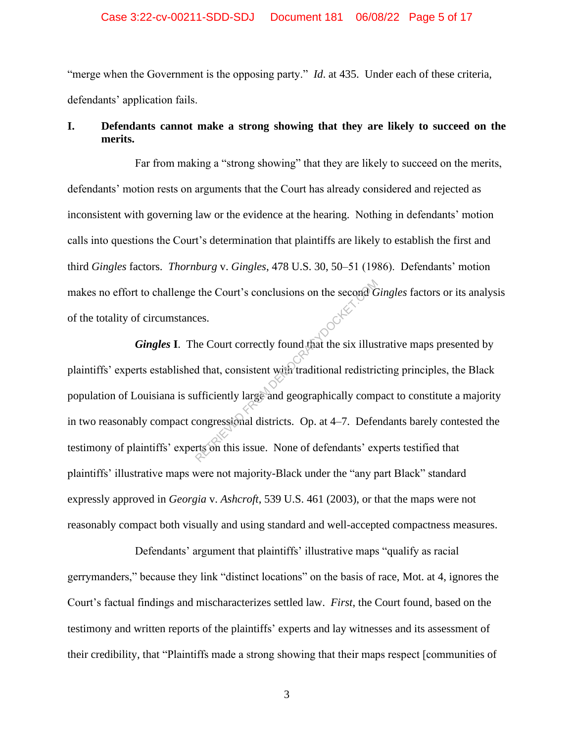## Case 3:22-cv-00211-SDD-SDJ Document 181 06/08/22 Page 5 of 17

"merge when the Government is the opposing party." *Id*. at 435. Under each of these criteria, defendants' application fails.

# **I. Defendants cannot make a strong showing that they are likely to succeed on the merits.**

Far from making a "strong showing" that they are likely to succeed on the merits, defendants' motion rests on arguments that the Court has already considered and rejected as inconsistent with governing law or the evidence at the hearing. Nothing in defendants' motion calls into questions the Court's determination that plaintiffs are likely to establish the first and third *Gingles* factors. *Thornburg* v. *Gingles*, 478 U.S. 30, 50–51 (1986). Defendants' motion makes no effort to challenge the Court's conclusions on the second *Gingles* factors or its analysis of the totality of circumstances.

*Gingles* **I**. The Court correctly found that the six illustrative maps presented by plaintiffs' experts established that, consistent with traditional redistricting principles, the Black population of Louisiana is sufficiently large and geographically compact to constitute a majority in two reasonably compact congressional districts. Op. at 4–7. Defendants barely contested the testimony of plaintiffs' experts on this issue. None of defendants' experts testified that plaintiffs' illustrative maps were not majority-Black under the "any part Black" standard expressly approved in *Georgia* v. *Ashcroft*, 539 U.S. 461 (2003), or that the maps were not reasonably compact both visually and using standard and well-accepted compactness measures. the Court's conclusions on the second of<br>the Court correctly found that the six illus<br>d that, consistent with traditional redistric<br>ufficiently large and geographically comp<br>congressional districts. Op. at 4–7. Defer<br>train

Defendants' argument that plaintiffs' illustrative maps "qualify as racial gerrymanders," because they link "distinct locations" on the basis of race, Mot. at 4, ignores the Court's factual findings and mischaracterizes settled law. *First*, the Court found, based on the testimony and written reports of the plaintiffs' experts and lay witnesses and its assessment of their credibility, that "Plaintiffs made a strong showing that their maps respect [communities of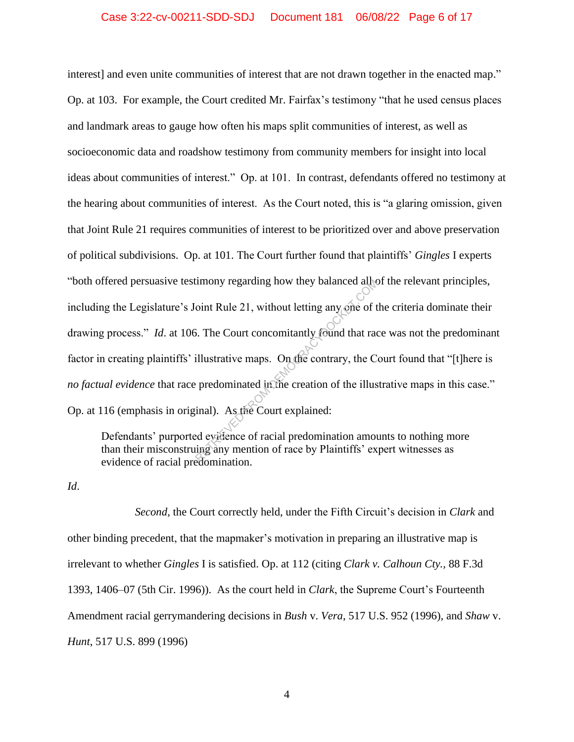interest] and even unite communities of interest that are not drawn together in the enacted map." Op. at 103. For example, the Court credited Mr. Fairfax's testimony "that he used census places and landmark areas to gauge how often his maps split communities of interest, as well as socioeconomic data and roadshow testimony from community members for insight into local ideas about communities of interest." Op. at 101. In contrast, defendants offered no testimony at the hearing about communities of interest. As the Court noted, this is "a glaring omission, given that Joint Rule 21 requires communities of interest to be prioritized over and above preservation of political subdivisions. Op. at 101. The Court further found that plaintiffs' *Gingles* I experts "both offered persuasive testimony regarding how they balanced all of the relevant principles, including the Legislature's Joint Rule 21, without letting any one of the criteria dominate their drawing process." *Id*. at 106. The Court concomitantly found that race was not the predominant factor in creating plaintiffs' illustrative maps. On the contrary, the Court found that "[t]here is *no factual evidence* that race predominated in the creation of the illustrative maps in this case." Op. at 116 (emphasis in original). As the Court explained: timony regarding how they balanced ally<br>
oint Rule 21, without letting any one of t<br>
5. The Court concomitantly found that rad<br>
illustrative maps. On the contrary, the C<br>
expedience of the illus<br>
inal). As the Court explai

Defendants' purported evidence of racial predomination amounts to nothing more than their misconstruing any mention of race by Plaintiffs' expert witnesses as evidence of racial predomination.

*Id*.

*Second*, the Court correctly held, under the Fifth Circuit's decision in *Clark* and other binding precedent, that the mapmaker's motivation in preparing an illustrative map is irrelevant to whether *Gingles* I is satisfied. Op. at 112 (citing *Clark v. Calhoun Cty.*, 88 F.3d 1393, 1406–07 (5th Cir. 1996)). As the court held in *Clark*, the Supreme Court's Fourteenth Amendment racial gerrymandering decisions in *Bush* v. *Vera*, 517 U.S. 952 (1996), and *Shaw* v. *Hunt*, 517 U.S. 899 (1996)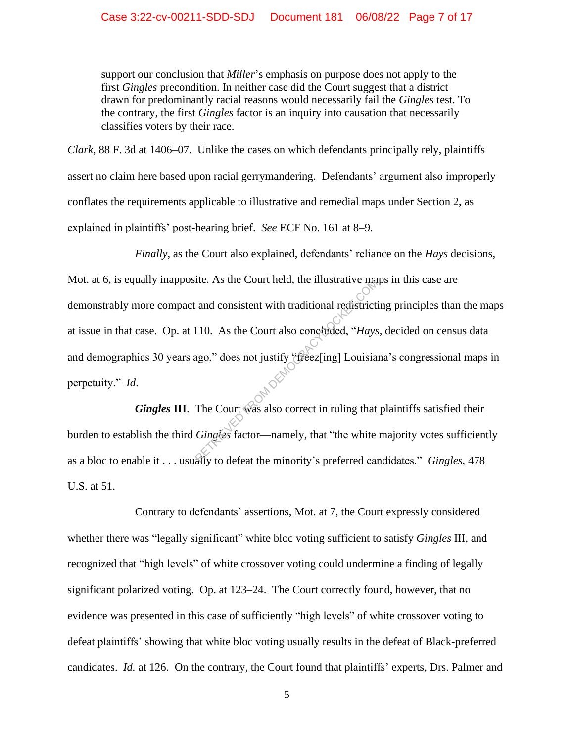support our conclusion that *Miller*'s emphasis on purpose does not apply to the first *Gingles* precondition. In neither case did the Court suggest that a district drawn for predominantly racial reasons would necessarily fail the *Gingles* test. To the contrary, the first *Gingles* factor is an inquiry into causation that necessarily classifies voters by their race.

*Clark*, 88 F. 3d at 1406–07. Unlike the cases on which defendants principally rely, plaintiffs assert no claim here based upon racial gerrymandering. Defendants' argument also improperly conflates the requirements applicable to illustrative and remedial maps under Section 2, as explained in plaintiffs' post-hearing brief. *See* ECF No. 161 at 8–9.

*Finally*, as the Court also explained, defendants' reliance on the *Hays* decisions, Mot. at 6, is equally inapposite. As the Court held, the illustrative maps in this case are demonstrably more compact and consistent with traditional redistricting principles than the maps at issue in that case. Op. at 110. As the Court also concluded, "*Hays*, decided on census data and demographics 30 years ago," does not justify "freez[ing] Louisiana's congressional maps in perpetuity." *Id*. The Court also concluded, "Hays<br>ago," does not justify "freez[ing] Louisia<br>ago," does not justify "freez[ing] Louisia<br>The Court was also correct in ruling that<br>Gingles factor—namely, that "the white

Gingles III. The Court was also correct in ruling that plaintiffs satisfied their burden to establish the third *Gingles* factor—namely, that "the white majority votes sufficiently as a bloc to enable it . . . usually to defeat the minority's preferred candidates." *Gingles*, 478 U.S. at 51.

Contrary to defendants' assertions, Mot. at 7, the Court expressly considered whether there was "legally significant" white bloc voting sufficient to satisfy *Gingles* III, and recognized that "high levels" of white crossover voting could undermine a finding of legally significant polarized voting. Op. at 123–24. The Court correctly found, however, that no evidence was presented in this case of sufficiently "high levels" of white crossover voting to defeat plaintiffs' showing that white bloc voting usually results in the defeat of Black-preferred candidates. *Id.* at 126. On the contrary, the Court found that plaintiffs' experts, Drs. Palmer and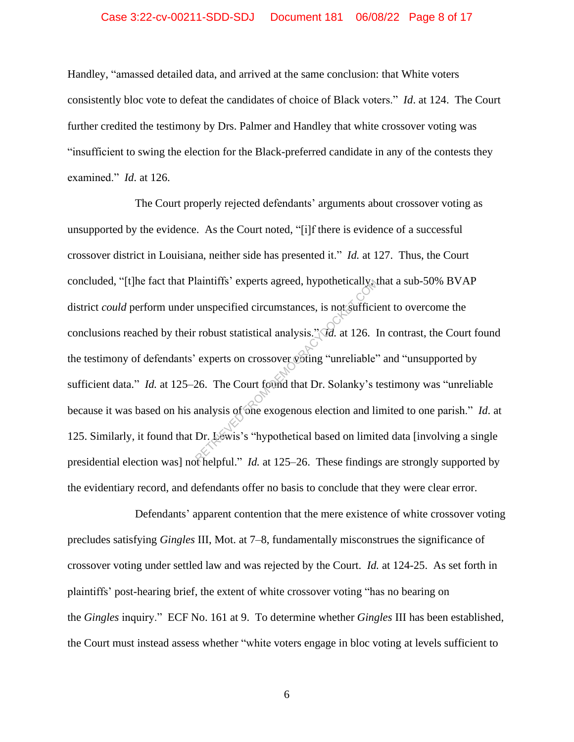## Case 3:22-cv-00211-SDD-SDJ Document 181 06/08/22 Page 8 of 17

Handley, "amassed detailed data, and arrived at the same conclusion: that White voters consistently bloc vote to defeat the candidates of choice of Black voters." *Id*. at 124. The Court further credited the testimony by Drs. Palmer and Handley that white crossover voting was "insufficient to swing the election for the Black-preferred candidate in any of the contests they examined." *Id*. at 126.

The Court properly rejected defendants' arguments about crossover voting as unsupported by the evidence. As the Court noted, "[i]f there is evidence of a successful crossover district in Louisiana, neither side has presented it." *Id.* at 127. Thus, the Court concluded, "[t]he fact that Plaintiffs' experts agreed, hypothetically, that a sub-50% BVAP district *could* perform under unspecified circumstances, is not sufficient to overcome the conclusions reached by their robust statistical analysis." *Id.* at 126. In contrast, the Court found the testimony of defendants' experts on crossover voting "unreliable" and "unsupported by sufficient data." *Id.* at 125–26. The Court found that Dr. Solanky's testimony was "unreliable because it was based on his analysis of one exogenous election and limited to one parish." *Id*. at 125. Similarly, it found that Dr. Lewis's "hypothetical based on limited data [involving a single presidential election was] not helpful." *Id.* at 125–26. These findings are strongly supported by the evidentiary record, and defendants offer no basis to conclude that they were clear error. dunspecified circumstances, is not sufficially<br>
unspecified circumstances, is not sufficial<br>
control of the Court found that Dr. Solanky's transly<br>
26. The Court found that Dr. Solanky's transly is of the exogenous electi

Defendants' apparent contention that the mere existence of white crossover voting precludes satisfying *Gingles* III, Mot. at 7–8, fundamentally misconstrues the significance of crossover voting under settled law and was rejected by the Court. *Id.* at 124-25. As set forth in plaintiffs' post-hearing brief, the extent of white crossover voting "has no bearing on the *Gingles* inquiry." ECF No. 161 at 9. To determine whether *Gingles* III has been established, the Court must instead assess whether "white voters engage in bloc voting at levels sufficient to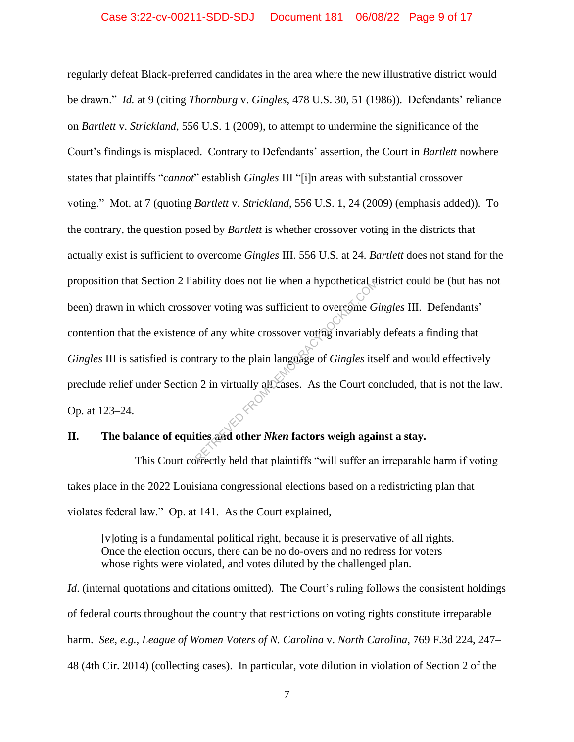regularly defeat Black-preferred candidates in the area where the new illustrative district would be drawn." *Id.* at 9 (citing *Thornburg* v. *Gingles*, 478 U.S. 30, 51 (1986)). Defendants' reliance on *Bartlett* v. *Strickland*, 556 U.S. 1 (2009), to attempt to undermine the significance of the Court's findings is misplaced. Contrary to Defendants' assertion, the Court in *Bartlett* nowhere states that plaintiffs "*cannot*" establish *Gingles* III "[i]n areas with substantial crossover voting." Mot. at 7 (quoting *Bartlett* v. *Strickland*, 556 U.S. 1, 24 (2009) (emphasis added)). To the contrary, the question posed by *Bartlett* is whether crossover voting in the districts that actually exist is sufficient to overcome *Gingles* III. 556 U.S. at 24. *Bartlett* does not stand for the proposition that Section 2 liability does not lie when a hypothetical district could be (but has not been) drawn in which crossover voting was sufficient to overcome *Gingles* III. Defendants' contention that the existence of any white crossover voting invariably defeats a finding that *Gingles* III is satisfied is contrary to the plain language of *Gingles* itself and would effectively preclude relief under Section 2 in virtually all cases. As the Court concluded, that is not the law. Op. at 123–24. Ability does not lie when a hypothetical of<br>over voting was sufficient to overcome  $G$ <br>is of any white crossover voting invariably<br>trary to the plain language of *Gingles* its<br>a 2 in virtually all cases. As the Court comp

# **II. The balance of equities and other** *Nken* **factors weigh against a stay.**

This Court correctly held that plaintiffs "will suffer an irreparable harm if voting takes place in the 2022 Louisiana congressional elections based on a redistricting plan that violates federal law." Op. at 141. As the Court explained,

[v]oting is a fundamental political right, because it is preservative of all rights. Once the election occurs, there can be no do-overs and no redress for voters whose rights were violated, and votes diluted by the challenged plan.

*Id.* (internal quotations and citations omitted). The Court's ruling follows the consistent holdings of federal courts throughout the country that restrictions on voting rights constitute irreparable harm. *See, e.g., League of Women Voters of N. Carolina* v. *North Carolina*, 769 F.3d 224, 247– 48 (4th Cir. 2014) (collecting cases). In particular, vote dilution in violation of Section 2 of the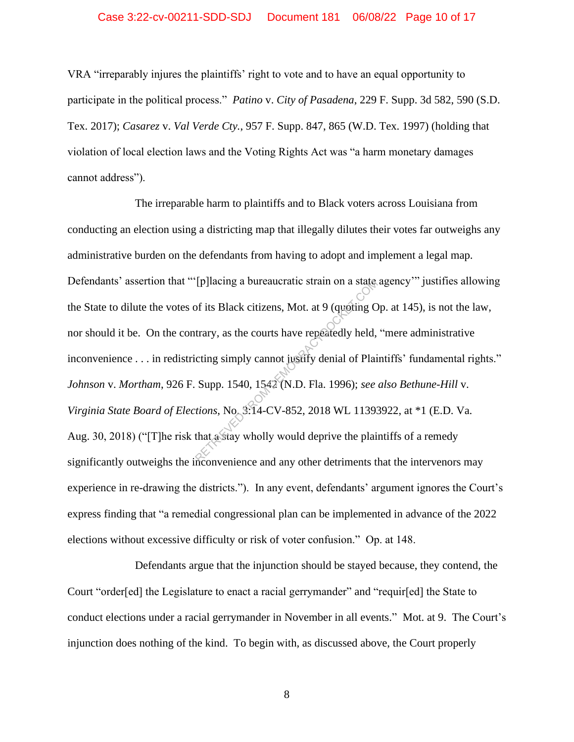## Case 3:22-cv-00211-SDD-SDJ Document 181 06/08/22 Page 10 of 17

VRA "irreparably injures the plaintiffs' right to vote and to have an equal opportunity to participate in the political process." *Patino* v. *City of Pasadena*, 229 F. Supp. 3d 582, 590 (S.D. Tex. 2017); *Casarez* v. *Val Verde Cty.*, 957 F. Supp. 847, 865 (W.D. Tex. 1997) (holding that violation of local election laws and the Voting Rights Act was "a harm monetary damages cannot address").

The irreparable harm to plaintiffs and to Black voters across Louisiana from conducting an election using a districting map that illegally dilutes their votes far outweighs any administrative burden on the defendants from having to adopt and implement a legal map. Defendants' assertion that "'[p]lacing a bureaucratic strain on a state agency" justifies allowing the State to dilute the votes of its Black citizens, Mot. at 9 (quoting Op. at 145), is not the law, nor should it be. On the contrary, as the courts have repeatedly held, "mere administrative inconvenience . . . in redistricting simply cannot justify denial of Plaintiffs' fundamental rights." *Johnson* v. *Mortham*, 926 F. Supp. 1540, 1542 (N.D. Fla. 1996); *see also Bethune-Hill* v. *Virginia State Board of Elections*, No. 3:14-CV-852, 2018 WL 11393922, at \*1 (E.D. Va. Aug. 30, 2018) ("[T]he risk that a stay wholly would deprive the plaintiffs of a remedy significantly outweighs the inconvenience and any other detriments that the intervenors may experience in re-drawing the districts."). In any event, defendants' argument ignores the Court's express finding that "a remedial congressional plan can be implemented in advance of the 2022 elections without excessive difficulty or risk of voter confusion." Op. at 148. Telling a bureaucratic strain on a state<br>of its Black citizens, Mot. at 9 (quoting C<br>trary, as the courts have repeatedly held,<br>cting simply cannot justify denial of Plai<br>Supp. 1540, 1542 (N.D. Fla. 1996); see<br>tions, No. 3

Defendants argue that the injunction should be stayed because, they contend, the Court "order[ed] the Legislature to enact a racial gerrymander" and "requir[ed] the State to conduct elections under a racial gerrymander in November in all events." Mot. at 9. The Court's injunction does nothing of the kind. To begin with, as discussed above, the Court properly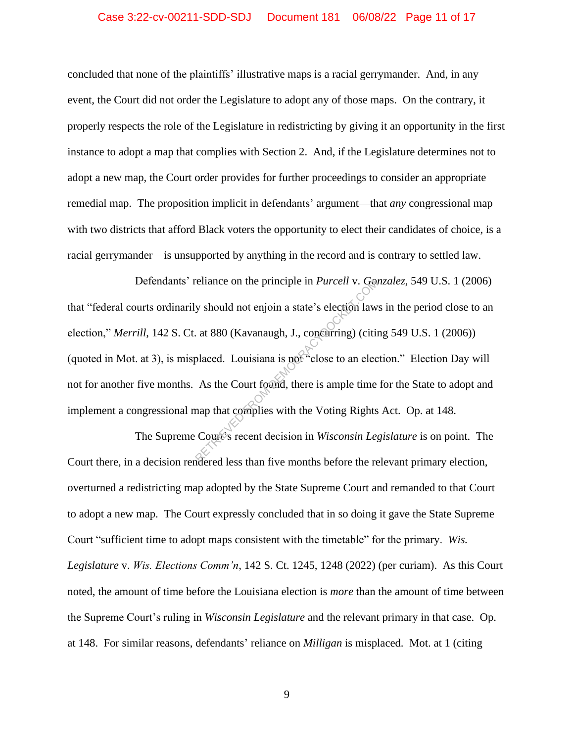## Case 3:22-cv-00211-SDD-SDJ Document 181 06/08/22 Page 11 of 17

concluded that none of the plaintiffs' illustrative maps is a racial gerrymander. And, in any event, the Court did not order the Legislature to adopt any of those maps. On the contrary, it properly respects the role of the Legislature in redistricting by giving it an opportunity in the first instance to adopt a map that complies with Section 2. And, if the Legislature determines not to adopt a new map, the Court order provides for further proceedings to consider an appropriate remedial map. The proposition implicit in defendants' argument—that *any* congressional map with two districts that afford Black voters the opportunity to elect their candidates of choice, is a racial gerrymander—is unsupported by anything in the record and is contrary to settled law.

Defendants' reliance on the principle in *Purcell* v. *Gonzalez*, 549 U.S. 1 (2006) that "federal courts ordinarily should not enjoin a state's election laws in the period close to an election," *Merrill*, 142 S. Ct. at 880 (Kavanaugh, J., concurring) (citing 549 U.S. 1 (2006)) (quoted in Mot. at 3), is misplaced. Louisiana is not "close to an election." Election Day will not for another five months. As the Court found, there is ample time for the State to adopt and implement a congressional map that complies with the Voting Rights Act. Op. at 148. Eliance on the principle in *Purcell* v. Get<br>y should not enjoin a state's election law<br>at 880 (Kavanaugh, J., concurring) (citin<br>placed. Louisiana is not "close to an elected.<br>As the Court found, there is ample time<br>map

The Supreme Court's recent decision in *Wisconsin Legislature* is on point. The Court there, in a decision rendered less than five months before the relevant primary election, overturned a redistricting map adopted by the State Supreme Court and remanded to that Court to adopt a new map. The Court expressly concluded that in so doing it gave the State Supreme Court "sufficient time to adopt maps consistent with the timetable" for the primary. *Wis. Legislature* v. *Wis. Elections Comm'n*, 142 S. Ct. 1245, 1248 (2022) (per curiam). As this Court noted, the amount of time before the Louisiana election is *more* than the amount of time between the Supreme Court's ruling in *Wisconsin Legislature* and the relevant primary in that case. Op. at 148. For similar reasons, defendants' reliance on *Milligan* is misplaced. Mot. at 1 (citing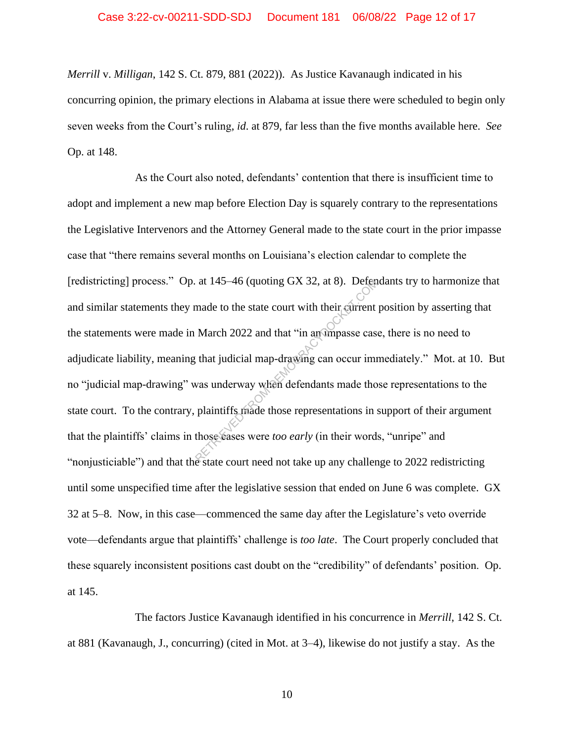### Case 3:22-cv-00211-SDD-SDJ Document 181 06/08/22 Page 12 of 17

*Merrill* v. *Milligan*, 142 S. Ct. 879, 881 (2022)). As Justice Kavanaugh indicated in his concurring opinion, the primary elections in Alabama at issue there were scheduled to begin only seven weeks from the Court's ruling, *id*. at 879, far less than the five months available here. *See*  Op. at 148.

As the Court also noted, defendants' contention that there is insufficient time to adopt and implement a new map before Election Day is squarely contrary to the representations the Legislative Intervenors and the Attorney General made to the state court in the prior impasse case that "there remains several months on Louisiana's election calendar to complete the [redistricting] process." Op. at 145–46 (quoting GX 32, at 8). Defendants try to harmonize that and similar statements they made to the state court with their current position by asserting that the statements were made in March 2022 and that "in an impasse case, there is no need to adjudicate liability, meaning that judicial map-drawing can occur immediately." Mot. at 10. But no "judicial map-drawing" was underway when defendants made those representations to the state court. To the contrary, plaintiffs made those representations in support of their argument that the plaintiffs' claims in those cases were *too early* (in their words, "unripe" and "nonjusticiable") and that the state court need not take up any challenge to 2022 redistricting until some unspecified time after the legislative session that ended on June 6 was complete. GX 32 at 5–8. Now, in this case—commenced the same day after the Legislature's veto override vote—defendants argue that plaintiffs' challenge is *too late*. The Court properly concluded that these squarely inconsistent positions cast doubt on the "credibility" of defendants' position. Op. at 145. at 145–46 (quoting GX 32, at 8). Deten<br>
made to the state court with their current<br>
March 2022 and that "in an umpasse case<br>
that judicial map-drawing can occur im<br>
was underway when defendants made tho<br>
plaintiffs made t

The factors Justice Kavanaugh identified in his concurrence in *Merrill*, 142 S. Ct. at 881 (Kavanaugh, J., concurring) (cited in Mot. at 3–4), likewise do not justify a stay. As the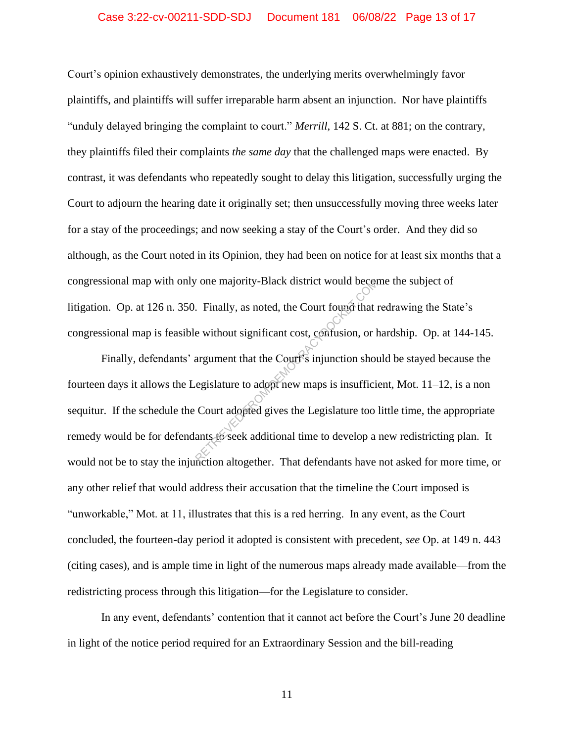## Case 3:22-cv-00211-SDD-SDJ Document 181 06/08/22 Page 13 of 17

Court's opinion exhaustively demonstrates, the underlying merits overwhelmingly favor plaintiffs, and plaintiffs will suffer irreparable harm absent an injunction. Nor have plaintiffs "unduly delayed bringing the complaint to court." *Merrill*, 142 S. Ct. at 881; on the contrary, they plaintiffs filed their complaints *the same day* that the challenged maps were enacted. By contrast, it was defendants who repeatedly sought to delay this litigation, successfully urging the Court to adjourn the hearing date it originally set; then unsuccessfully moving three weeks later for a stay of the proceedings; and now seeking a stay of the Court's order. And they did so although, as the Court noted in its Opinion, they had been on notice for at least six months that a congressional map with only one majority-Black district would become the subject of litigation. Op. at 126 n. 350. Finally, as noted, the Court found that redrawing the State's congressional map is feasible without significant cost, confusion, or hardship. Op. at 144-145.

Finally, defendants' argument that the Court's injunction should be stayed because the fourteen days it allows the Legislature to adopt new maps is insufficient, Mot. 11–12, is a non sequitur. If the schedule the Court adopted gives the Legislature too little time, the appropriate remedy would be for defendants to seek additional time to develop a new redistricting plan. It would not be to stay the injunction altogether. That defendants have not asked for more time, or any other relief that would address their accusation that the timeline the Court imposed is "unworkable," Mot. at 11, illustrates that this is a red herring. In any event, as the Court concluded, the fourteen-day period it adopted is consistent with precedent, *see* Op. at 149 n. 443 (citing cases), and is ample time in light of the numerous maps already made available—from the redistricting process through this litigation—for the Legislature to consider. The majority-Black district would be<br>
Ref. Finally, as noted, the Court found that<br>
<br>
e without significant cost, confusion, or largument that the Court<br>
<br>
regislature to adopt new maps is insuffici<br>
Court adopted gives th

In any event, defendants' contention that it cannot act before the Court's June 20 deadline in light of the notice period required for an Extraordinary Session and the bill-reading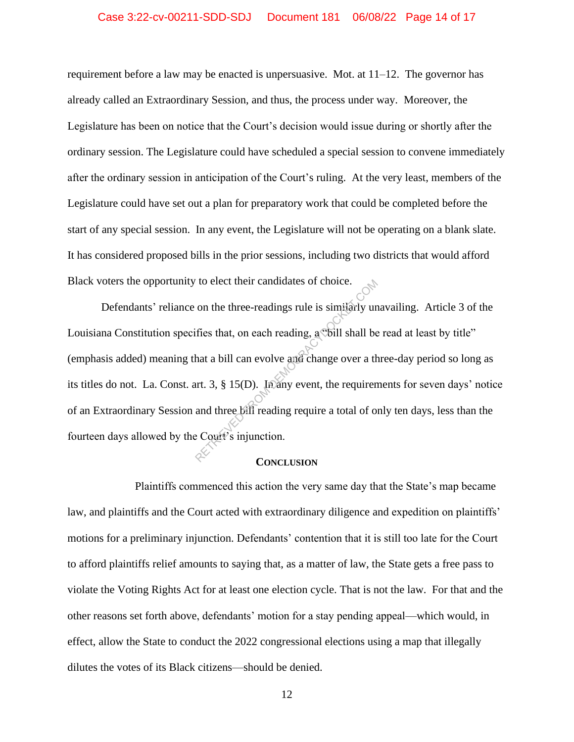### Case 3:22-cv-00211-SDD-SDJ Document 181 06/08/22 Page 14 of 17

requirement before a law may be enacted is unpersuasive. Mot. at 11–12. The governor has already called an Extraordinary Session, and thus, the process under way. Moreover, the Legislature has been on notice that the Court's decision would issue during or shortly after the ordinary session. The Legislature could have scheduled a special session to convene immediately after the ordinary session in anticipation of the Court's ruling. At the very least, members of the Legislature could have set out a plan for preparatory work that could be completed before the start of any special session. In any event, the Legislature will not be operating on a blank slate. It has considered proposed bills in the prior sessions, including two districts that would afford Black voters the opportunity to elect their candidates of choice.

Defendants' reliance on the three-readings rule is similarly unavailing. Article 3 of the Louisiana Constitution specifies that, on each reading, a voill shall be read at least by title" (emphasis added) meaning that a bill can evolve and change over a three-day period so long as its titles do not. La. Const. art. 3, § 15(D). In any event, the requirements for seven days' notice of an Extraordinary Session and three bill reading require a total of only ten days, less than the fourteen days allowed by the Court's injunction. The effect their candidates of choice.<br>
on the three-readings rule is similarly understand from the example of the shall shall be that a bill can evolve and change over a the traction.<br>
and three bill reading require a to

#### **CONCLUSION**

Plaintiffs commenced this action the very same day that the State's map became law, and plaintiffs and the Court acted with extraordinary diligence and expedition on plaintiffs' motions for a preliminary injunction. Defendants' contention that it is still too late for the Court to afford plaintiffs relief amounts to saying that, as a matter of law, the State gets a free pass to violate the Voting Rights Act for at least one election cycle. That is not the law. For that and the other reasons set forth above, defendants' motion for a stay pending appeal—which would, in effect, allow the State to conduct the 2022 congressional elections using a map that illegally dilutes the votes of its Black citizens—should be denied.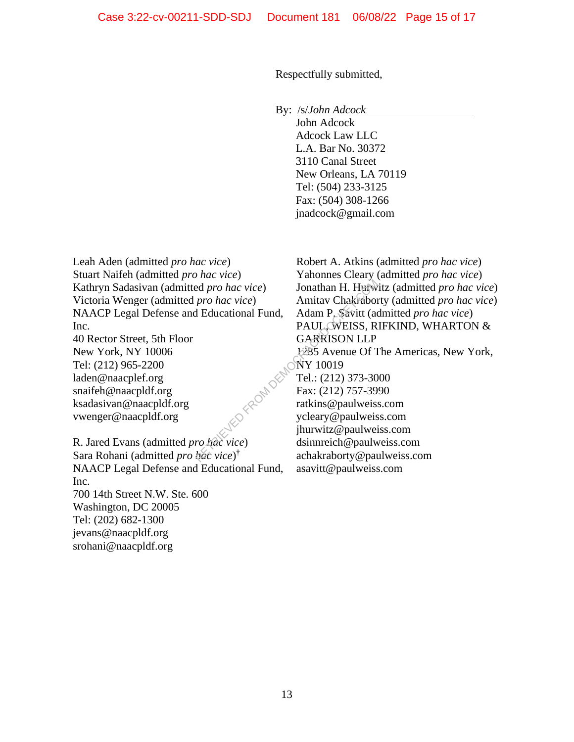Respectfully submitted,

By: /s/*John Adcock*

 John Adcock Adcock Law LLC L.A. Bar No. 30372 3110 Canal Street New Orleans, LA 70119 Tel: (504) 233-3125 Fax: (504) 308-1266 jnadcock@gmail.com

Leah Aden (admitted *pro hac vice*) Stuart Naifeh (admitted *pro hac vice*) Kathryn Sadasivan (admitted *pro hac vice*) Victoria Wenger (admitted *pro hac vice*) NAACP Legal Defense and Educational Fund, Inc.

40 Rector Street, 5th Floor New York, NY 10006 Tel: (212) 965-2200 laden@naacplef.org snaifeh@naacpldf.org ksadasivan@naacpldf.org vwenger@naacpldf.org

R. Jared Evans (admitted *pro hac vice*) Sara Rohani (admitted *pro hac vice*) † NAACP Legal Defense and Educational Fund, Inc. 700 14th Street N.W. Ste. 600 Washington, DC 20005 Tel: (202) 682-1300 jevans@naacpldf.org srohani@naacpldf.org

Robert A. Atkins (admitted *pro hac vice*) Yahonnes Cleary (admitted *pro hac vice*) Jonathan H. Hurwitz (admitted *pro hac vice*) Amitav Chakraborty (admitted *pro hac vice*) Adam P. Savitt (admitted *pro hac vice*) PAUL, WEISS, RIFKIND, WHARTON & GARRISON LLP 1285 Avenue Of The Americas, New York, NY 10019 Tel.: (212) 373-3000 Fax: (212) 757-3990 ratkins@paulweiss.com ycleary@paulweiss.com jhurwitz@paulweiss.com dsinnreich@paulweiss.com achakraborty@paulweiss.com asavitt@paulweiss.com ed pro hac vice)<br>
Pro hac vice)<br>
Amitav Chakrabon<br>
Helucational Fund, Adam P. Savitt (as<br>
PAUL, WEISS, R<br>
GARRISON LLP<br>
1285 Avenue Of T<br>
NY 10019<br>
Tel.: (212) 373-30<br>
Fax: (212) 757-39<br>
ratkins@paulweis<br>
ycleary@paulweis<br>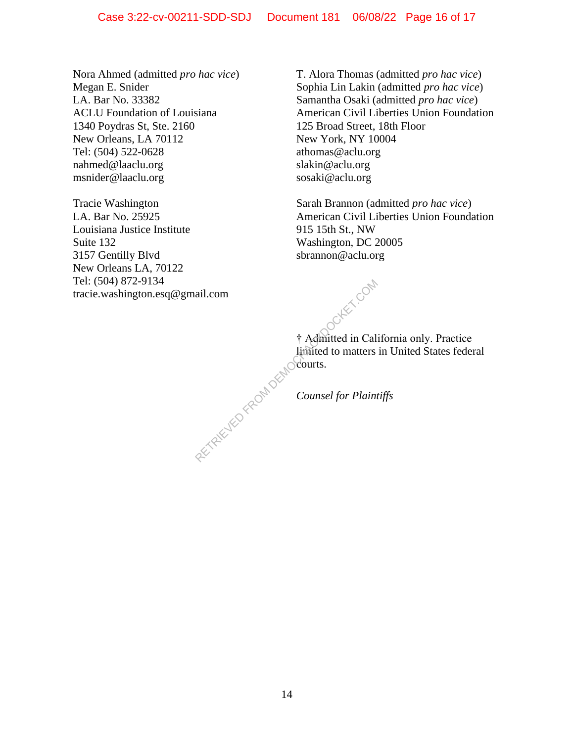Nora Ahmed (admitted *pro hac vice*) Megan E. Snider LA. Bar No. 33382 ACLU Foundation of Louisiana 1340 Poydras St, Ste. 2160 New Orleans, LA 70112 Tel: (504) 522-0628 nahmed@laaclu.org msnider@laaclu.org

Tracie Washington LA. Bar No. 25925 Louisiana Justice Institute Suite 132 3157 Gentilly Blvd New Orleans LA, 70122 Tel: (504) 872-9134 tracie.washington.esq@gmail.com T. Alora Thomas (admitted *pro hac vice*) Sophia Lin Lakin (admitted *pro hac vice*) Samantha Osaki (admitted *pro hac vice*) American Civil Liberties Union Foundation 125 Broad Street, 18th Floor New York, NY 10004 athomas@aclu.org slakin@aclu.org sosaki@aclu.org

Sarah Brannon (admitted *pro hac vice*) American Civil Liberties Union Foundation 915 15th St., NW Washington, DC 20005 sbrannon@aclu.org

† Admitted in California only. Practice limited to matters in United States federal courts. ail.com<br>
† Admitted in Cal.<br>
limited to matters<br>
Counsel for Plain

*Counsel for Plaintiffs*